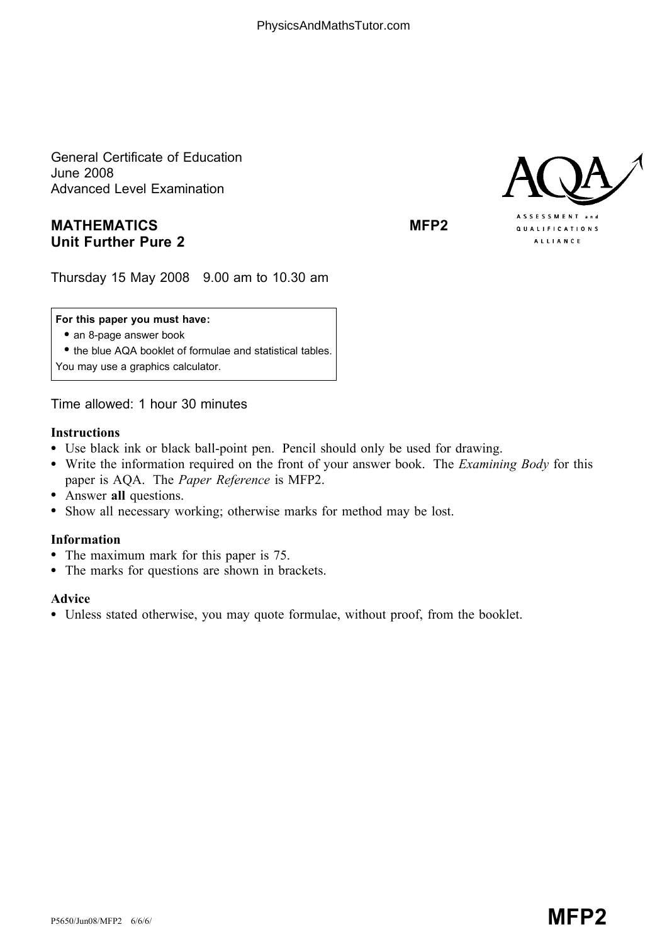General Certificate of Education June 2008 Advanced Level Examination

# MATHEMATICS MEDIAN MEP2 Unit Further Pure 2



Thursday 15 May 2008 9.00 am to 10.30 am

### For this paper you must have:

• an 8-page answer book

\* the blue AQA booklet of formulae and statistical tables. You may use a graphics calculator.

Time allowed: 1 hour 30 minutes

### Instructions

- Use black ink or black ball-point pen. Pencil should only be used for drawing.
- Write the information required on the front of your answer book. The *Examining Body* for this paper is AQA. The Paper Reference is MFP2.
- Answer all questions.
- \* Show all necessary working; otherwise marks for method may be lost.

## Information

- The maximum mark for this paper is 75.
- The marks for questions are shown in brackets.

#### Advice

\* Unless stated otherwise, you may quote formulae, without proof, from the booklet.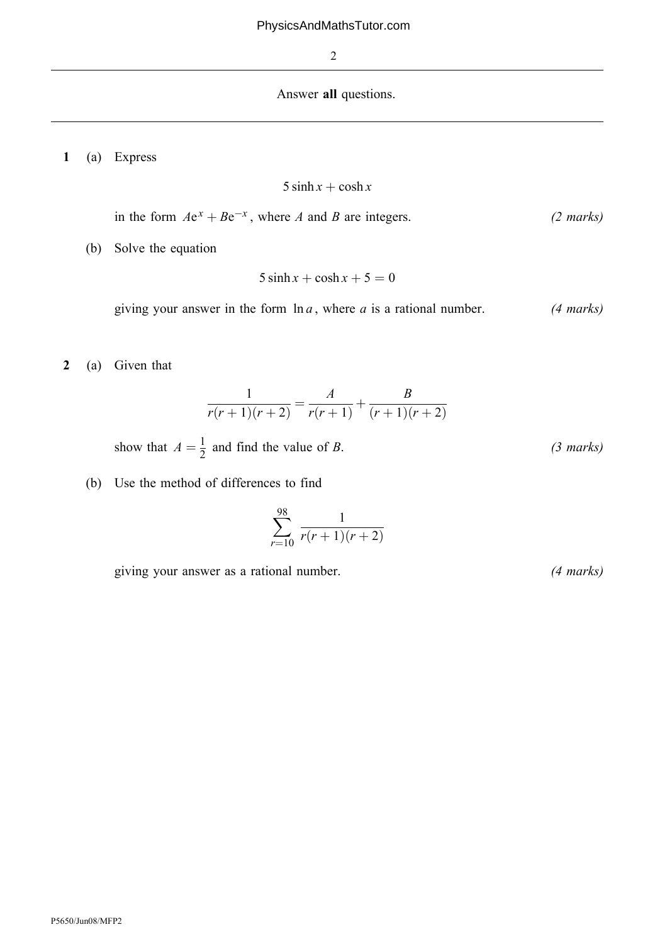### Answer all questions.

1 (a) Express

$$
5\sinh x + \cosh x
$$

in the form 
$$
Ae^x + Be^{-x}
$$
, where A and B are integers. (2 marks)

(b) Solve the equation

$$
5\sinh x + \cosh x + 5 = 0
$$

giving your answer in the form  $\ln a$ , where a is a rational number. (4 marks)

2 (a) Given that

$$
\frac{1}{r(r+1)(r+2)} = \frac{A}{r(r+1)} + \frac{B}{(r+1)(r+2)}
$$

show that  $A = \frac{1}{2}$  and find the value of B. (3 marks)

(b) Use the method of differences to find

$$
\sum_{r=10}^{98} \frac{1}{r(r+1)(r+2)}
$$

giving your answer as a rational number. (4 marks)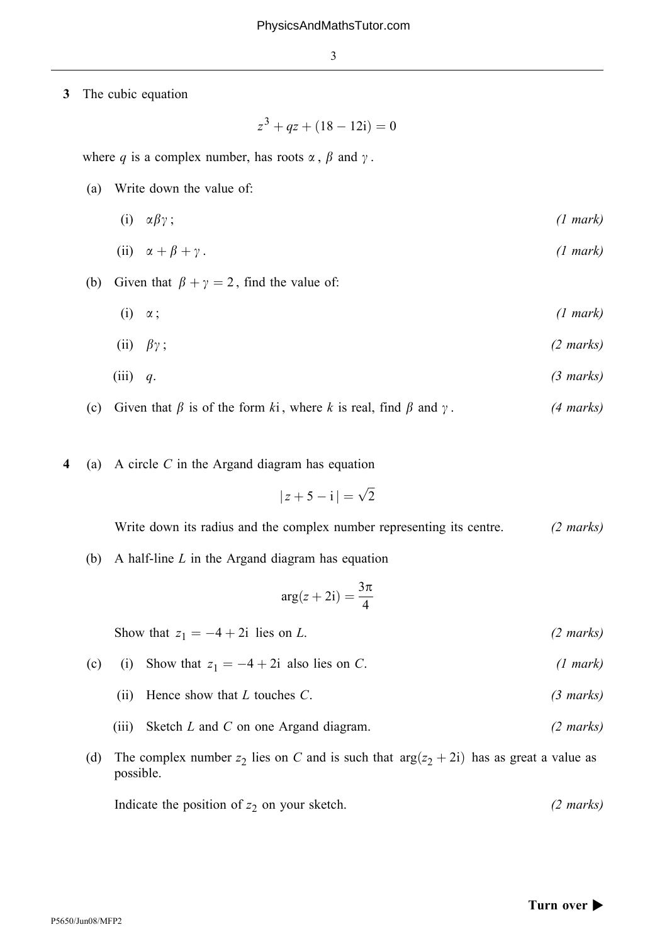3 The cubic equation

 $z^3 + qz + (18 - 12i) = 0$ 

where q is a complex number, has roots  $\alpha$ ,  $\beta$  and  $\gamma$ .

- (a) Write down the value of:
	- (i)  $\alpha \beta \gamma$ ; (1 mark)

(ii) 
$$
\alpha + \beta + \gamma
$$
. (1 mark)

- (b) Given that  $\beta + \gamma = 2$ , find the value of:
	- (i)  $\alpha$ ; (1 mark)

(ii) 
$$
\beta \gamma ; \qquad (2 \text{ marks})
$$

$$
(iii) \quad q. \tag{3 marks}
$$

- (c) Given that  $\beta$  is of the form ki, where k is real, find  $\beta$  and  $\gamma$ . (4 marks)
- 4 (a) A circle C in the Argand diagram has equation

$$
|z+5-i|=\sqrt{2}
$$

Write down its radius and the complex number representing its centre. (2 marks)

(b) A half-line  $L$  in the Argand diagram has equation

$$
\arg(z+2\mathrm{i})=\frac{3\pi}{4}
$$

Show that  $z_1 = -4 + 2i$  lies on L. (2 marks)

- (c) (i) Show that  $z_1 = -4 + 2i$  also lies on C. (1 mark)
	- (ii) Hence show that  $L$  touches  $C$ . (3 marks)
	- (iii) Sketch  $L$  and  $C$  on one Argand diagram. (2 *marks*)
- (d) The complex number  $z_2$  lies on C and is such that  $\arg(z_2 + 2i)$  has as great a value as possible.

Indicate the position of  $z_2$  on your sketch. (2 marks)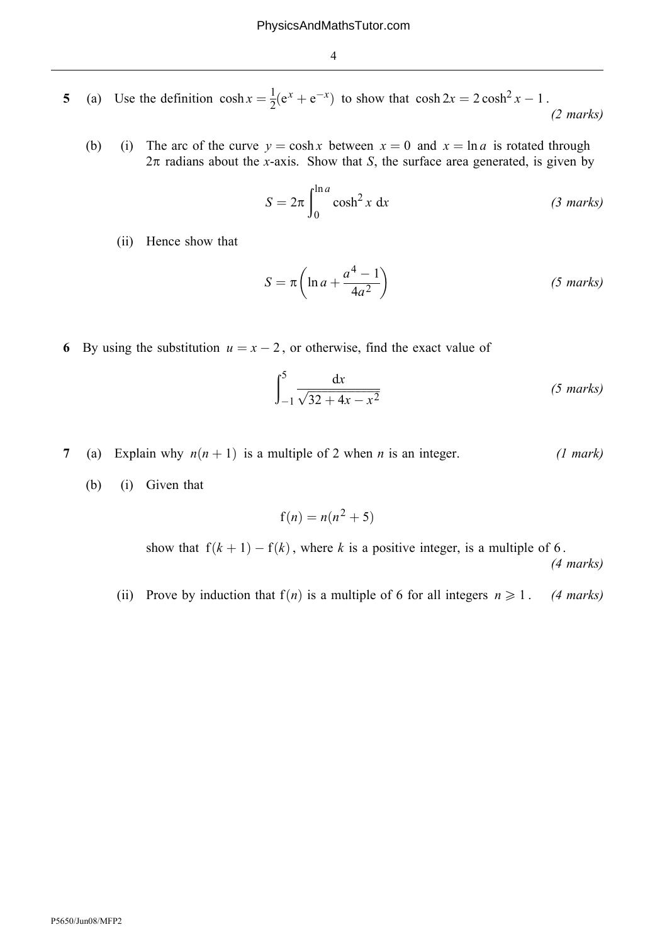- 5 (a) Use the definition  $\cosh x = \frac{1}{2}(e^x + e^{-x})$  to show that  $\cosh 2x = 2\cosh^2 x 1$ . (2 marks)
	- (b) (i) The arc of the curve  $y = \cosh x$  between  $x = 0$  and  $x = \ln a$  is rotated through  $2\pi$  radians about the x-axis. Show that S, the surface area generated, is given by

$$
S = 2\pi \int_0^{\ln a} \cosh^2 x \, dx \qquad (3 \text{ marks})
$$

(ii) Hence show that

$$
S = \pi \left( \ln a + \frac{a^4 - 1}{4a^2} \right) \tag{5 marks}
$$

6 By using the substitution  $u = x - 2$ , or otherwise, find the exact value of

$$
\int_{-1}^{5} \frac{\mathrm{d}x}{\sqrt{32 + 4x - x^2}} \tag{5 marks}
$$

- 7 (a) Explain why  $n(n + 1)$  is a multiple of 2 when *n* is an integer. (1 mark)
	- (b) (i) Given that

$$
f(n) = n(n^2 + 5)
$$

show that  $f(k + 1) - f(k)$ , where k is a positive integer, is a multiple of 6. (4 marks)

(ii) Prove by induction that  $f(n)$  is a multiple of 6 for all integers  $n \ge 1$ . (4 marks)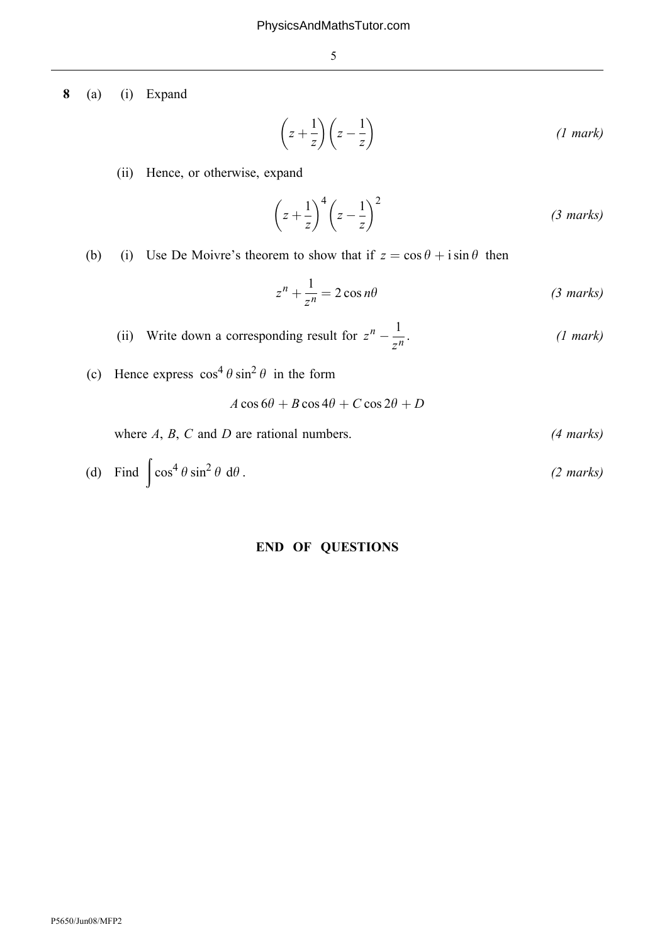8 (a) (i) Expand

$$
\left(z + \frac{1}{z}\right)\left(z - \frac{1}{z}\right) \tag{1 mark}
$$

(ii) Hence, or otherwise, expand

$$
\left(z + \frac{1}{z}\right)^4 \left(z - \frac{1}{z}\right)^2 \tag{3 marks}
$$

(b) (i) Use De Moivre's theorem to show that if  $z = \cos \theta + i \sin \theta$  then

$$
z^{n} + \frac{1}{z^{n}} = 2\cos n\theta
$$
 (3 marks)

(ii) Write down a corresponding result for  $z^n - \frac{1}{z^n}$ .  $(1 \text{ mark})$ 

(c) Hence express  $\cos^4 \theta \sin^2 \theta$  in the form

 $A \cos 6\theta + B \cos 4\theta + C \cos 2\theta + D$ 

where  $A, B, C$  and  $D$  are rational numbers. (4 marks)

(d) Find 
$$
\int \cos^4 \theta \sin^2 \theta \ d\theta
$$
. (2 marks)

# END OF QUESTIONS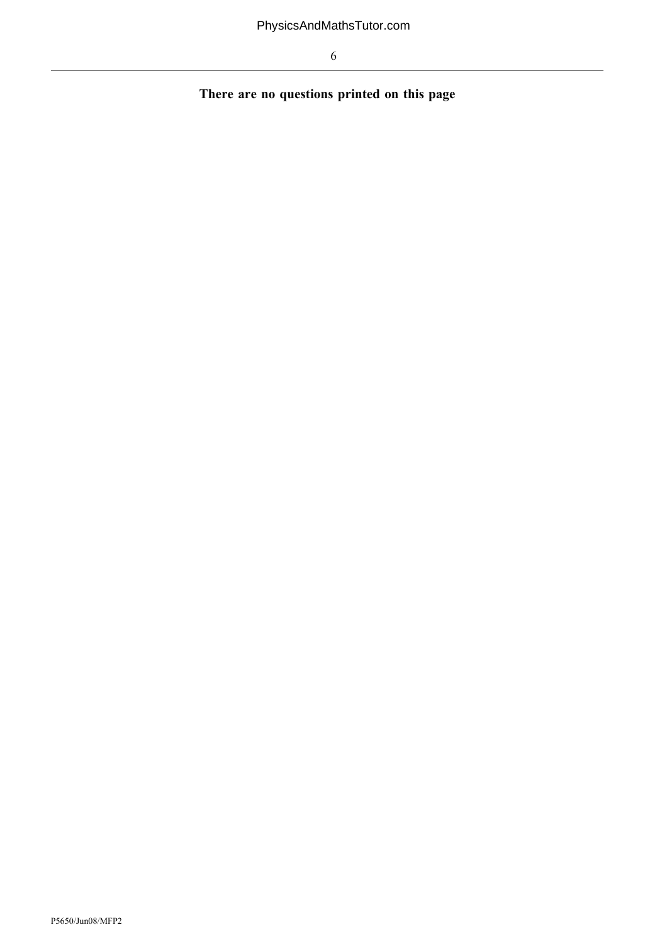There are no questions printed on this page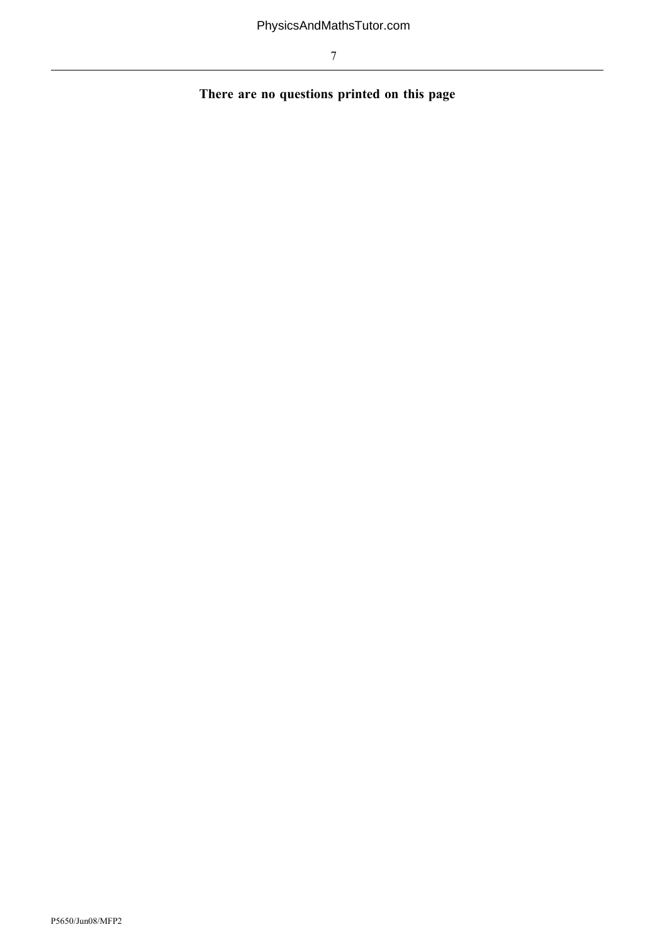There are no questions printed on this page